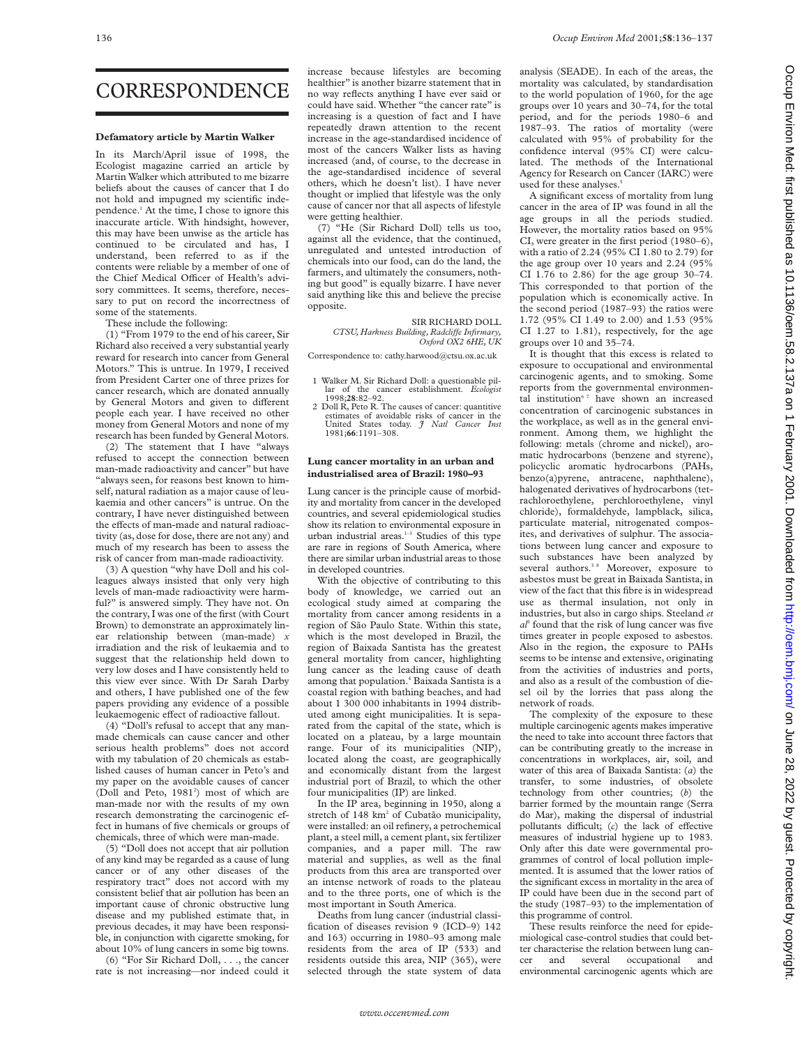## CORRESPONDENCE

#### **Defamatory article by Martin Walker**

In its March/April issue of 1998, the Ecologist magazine carried an article by Martin Walker which attributed to me bizarre beliefs about the causes of cancer that I do not hold and impugned my scientific independence.1 At the time, I chose to ignore this inaccurate article. With hindsight, however, this may have been unwise as the article has continued to be circulated and has, I understand, been referred to as if the contents were reliable by a member of one of the Chief Medical Officer of Health's advisory committees. It seems, therefore, necessary to put on record the incorrectness of some of the statements.

These include the following:

(1) "From 1979 to the end of his career, Sir Richard also received a very substantial yearly reward for research into cancer from General Motors." This is untrue. In 1979, I received from President Carter one of three prizes for cancer research, which are donated annually by General Motors and given to different people each year. I have received no other money from General Motors and none of my research has been funded by General Motors.

(2) The statement that I have "always refused to accept the connection between man-made radioactivity and cancer" but have "always seen, for reasons best known to himself, natural radiation as a major cause of leukaemia and other cancers" is untrue. On the contrary, I have never distinguished between the effects of man-made and natural radioactivity (as, dose for dose, there are not any) and much of my research has been to assess the risk of cancer from man-made radioactivity.

(3) A question "why have Doll and his colleagues always insisted that only very high levels of man-made radioactivity were harmful?" is answered simply. They have not. On the contrary, I was one of the first (with Court Brown) to demonstrate an approximately linear relationship between (man-made) *x* irradiation and the risk of leukaemia and to suggest that the relationship held down to very low doses and I have consistently held to this view ever since. With Dr Sarah Darby and others, I have published one of the few papers providing any evidence of a possible leukaemogenic effect of radioactive fallout.

(4) "Doll's refusal to accept that any manmade chemicals can cause cancer and other serious health problems" does not accord with my tabulation of 20 chemicals as established causes of human cancer in Peto's and my paper on the avoidable causes of cancer (Doll and Peto, 1981<sup>2</sup>) most of which are man-made nor with the results of my own research demonstrating the carcinogenic effect in humans of five chemicals or groups of chemicals, three of which were man-made.

(5) "Doll does not accept that air pollution of any kind may be regarded as a cause of lung cancer or of any other diseases of the respiratory tract" does not accord with my consistent belief that air pollution has been an important cause of chronic obstructive lung disease and my published estimate that, in previous decades, it may have been responsible, in conjunction with cigarette smoking, for about 10% of lung cancers in some big towns.

(6) "For Sir Richard Doll, . . ., the cancer rate is not increasing—nor indeed could it

increase because lifestyles are becoming healthier" is another bizarre statement that in no way reflects anything I have ever said or could have said. Whether "the cancer rate" is increasing is a question of fact and I have repeatedly drawn attention to the recent increase in the age-standardised incidence of most of the cancers Walker lists as having increased (and, of course, to the decrease in the age-standardised incidence of several others, which he doesn't list). I have never thought or implied that lifestyle was the only cause of cancer nor that all aspects of lifestyle were getting healthier.

(7) "He (Sir Richard Doll) tells us too, against all the evidence, that the continued, unregulated and untested introduction of chemicals into our food, can do the land, the farmers, and ultimately the consumers, nothing but good" is equally bizarre. I have never said anything like this and believe the precise opposite.

> SIR RICHARD DOLL *CTSU, Harkness Building, RadcliVe Infirmary, Oxford OX2 6HE, UK*

Correspondence to: cathy.harwood@ctsu.ox.ac.uk

- 1 Walker M. Sir Richard Doll: a questionable pillar of the cancer establishment. *Ecologist* 1998;**28**:82–92.
- 2 Doll R, Peto R. The causes of cancer: quantitive estimates of avoidable risks of cancer in the United States today. *J Natl Cancer Inst* 1981;**66**:1191–308.

#### **Lung cancer mortality in an urban and industrialised area of Brazil: 1980–93**

Lung cancer is the principle cause of morbidity and mortality from cancer in the developed countries, and several epidemiological studies show its relation to environmental exposure in urban industrial areas.<sup>1-3</sup> Studies of this type are rare in regions of South America, where there are similar urban industrial areas to those in developed countries.

With the objective of contributing to this body of knowledge, we carried out an ecological study aimed at comparing the mortality from cancer among residents in a region of São Paulo State. Within this state, which is the most developed in Brazil, the region of Baixada Santista has the greatest general mortality from cancer, highlighting lung cancer as the leading cause of death among that population.4 Baixada Santista is a coastal region with bathing beaches, and had about 1 300 000 inhabitants in 1994 distributed among eight municipalities. It is separated from the capital of the state, which is located on a plateau, by a large mountain range. Four of its municipalities (NIP), located along the coast, are geographically and economically distant from the largest industrial port of Brazil, to which the other four municipalities (IP) are linked.

In the IP area, beginning in 1950, along a stretch of 148 km<sup>2</sup> of Cubatão municipality, were installed: an oil refinery, a petrochemical plant, a steel mill, a cement plant, six fertilizer companies, and a paper mill. The raw material and supplies, as well as the final products from this area are transported over an intense network of roads to the plateau and to the three ports, one of which is the most important in South America.

Deaths from lung cancer (industrial classification of diseases revision 9 (ICD–9) 142 and 163) occurring in 1980–93 among male residents from the area of IP (533) and residents outside this area, NIP (365), were selected through the state system of data

analysis (SEADE). In each of the areas, the mortality was calculated, by standardisation to the world population of 1960, for the age groups over 10 years and 30–74, for the total period, and for the periods 1980–6 and 1987–93. The ratios of mortality (were calculated with 95% of probability for the confidence interval (95% CI) were calculated. The methods of the International Agency for Research on Cancer (IARC) were used for these analyses.<sup>5</sup>

A significant excess of mortality from lung cancer in the area of IP was found in all the age groups in all the periods studied. However, the mortality ratios based on 95% CI, were greater in the first period (1980–6), with a ratio of 2.24 (95% CI 1.80 to 2.79) for the age group over 10 years and 2.24 (95% CI 1.76 to 2.86) for the age group 30–74. This corresponded to that portion of the population which is economically active. In the second period (1987–93) the ratios were 1.72 (95% CI 1.49 to 2.00) and 1.53 (95% CI 1.27 to 1.81), respectively, for the age groups over 10 and 35–74.

It is thought that this excess is related to exposure to occupational and environmental carcinogenic agents, and to smoking. Some reports from the governmental environmental institution<sup>67</sup> have shown an increased concentration of carcinogenic substances in the workplace, as well as in the general environment. Among them, we highlight the following: metals (chrome and nickel), aromatic hydrocarbons (benzene and styrene), policyclic aromatic hydrocarbons (PAHs, benzo(a)pyrene, antracene, naphthalene), halogenated derivatives of hydrocarbons (tetrachloroethylene, perchloroethylene, vinyl chloride), formaldehyde, lampblack, silica, particulate material, nitrogenated composites, and derivatives of sulphur. The associations between lung cancer and exposure to such substances have been analyzed by several authors.<sup>38</sup> Moreover, exposure to asbestos must be great in Baixada Santista, in view of the fact that this fibre is in widespread use as thermal insulation, not only in industries, but also in cargo ships. Steeland *et al*<sup>3</sup> found that the risk of lung cancer was five times greater in people exposed to asbestos. Also in the region, the exposure to PAHs seems to be intense and extensive, originating from the activities of industries and ports, and also as a result of the combustion of diesel oil by the lorries that pass along the network of roads.

The complexity of the exposure to these multiple carcinogenic agents makes imperative the need to take into account three factors that can be contributing greatly to the increase in concentrations in workplaces, air, soil, and water of this area of Baixada Santista: (*a*) the transfer, to some industries, of obsolete technology from other countries; (*b*) the barrier formed by the mountain range (Serra do Mar), making the dispersal of industrial pollutants difficult; (c) the lack of effective measures of industrial hygiene up to 1983. Only after this date were governmental programmes of control of local pollution implemented. It is assumed that the lower ratios of the significant excess in mortality in the area of IP could have been due in the second part of the study (1987–93) to the implementation of this programme of control.

These results reinforce the need for epidemiological case-control studies that could better characterise the relation between lung cancer and several occupational and environmental carcinogenic agents which are